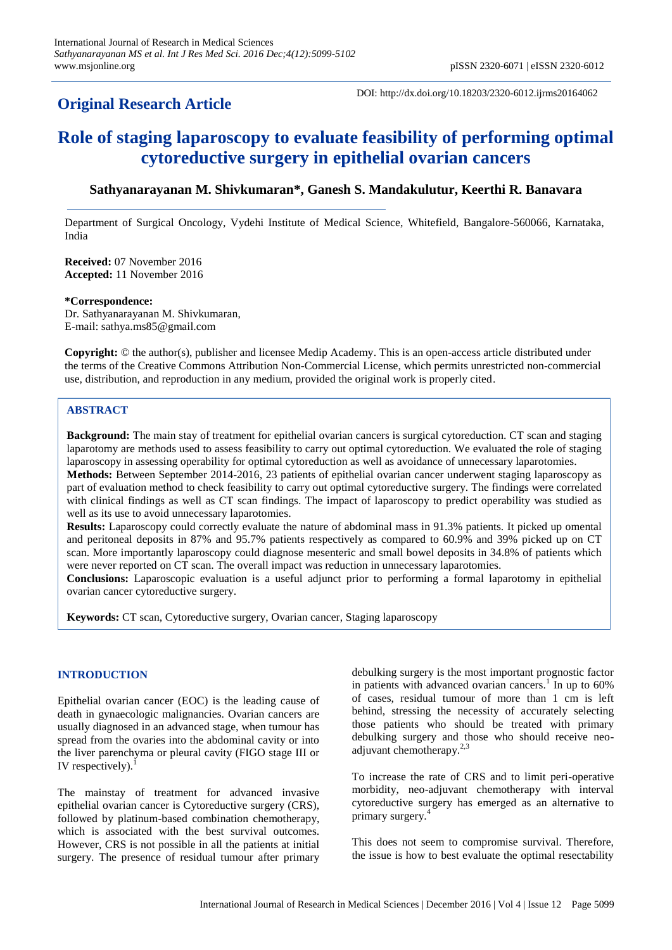## **Original Research Article**

DOI: http://dx.doi.org/10.18203/2320-6012.ijrms20164062

# **Role of staging laparoscopy to evaluate feasibility of performing optimal cytoreductive surgery in epithelial ovarian cancers**

## **Sathyanarayanan M. Shivkumaran\*, Ganesh S. Mandakulutur, Keerthi R. Banavara**

Department of Surgical Oncology, Vydehi Institute of Medical Science, Whitefield, Bangalore-560066, Karnataka, India

**Received:** 07 November 2016 **Accepted:** 11 November 2016

#### **\*Correspondence:**

Dr. Sathyanarayanan M. Shivkumaran, E-mail: sathya.ms85@gmail.com

**Copyright:** © the author(s), publisher and licensee Medip Academy. This is an open-access article distributed under the terms of the Creative Commons Attribution Non-Commercial License, which permits unrestricted non-commercial use, distribution, and reproduction in any medium, provided the original work is properly cited.

### **ABSTRACT**

**Background:** The main stay of treatment for epithelial ovarian cancers is surgical cytoreduction. CT scan and staging laparotomy are methods used to assess feasibility to carry out optimal cytoreduction. We evaluated the role of staging laparoscopy in assessing operability for optimal cytoreduction as well as avoidance of unnecessary laparotomies. **Methods:** Between September 2014-2016, 23 patients of epithelial ovarian cancer underwent staging laparoscopy as part of evaluation method to check feasibility to carry out optimal cytoreductive surgery. The findings were correlated with clinical findings as well as CT scan findings. The impact of laparoscopy to predict operability was studied as well as its use to avoid unnecessary laparotomies.

**Results:** Laparoscopy could correctly evaluate the nature of abdominal mass in 91.3% patients. It picked up omental and peritoneal deposits in 87% and 95.7% patients respectively as compared to 60.9% and 39% picked up on CT scan. More importantly laparoscopy could diagnose mesenteric and small bowel deposits in 34.8% of patients which were never reported on CT scan. The overall impact was reduction in unnecessary laparotomies.

**Conclusions:** Laparoscopic evaluation is a useful adjunct prior to performing a formal laparotomy in epithelial ovarian cancer cytoreductive surgery.

**Keywords:** CT scan, Cytoreductive surgery, Ovarian cancer, Staging laparoscopy

#### **INTRODUCTION**

Epithelial ovarian cancer (EOC) is the leading cause of death in gynaecologic malignancies. Ovarian cancers are usually diagnosed in an advanced stage, when tumour has spread from the ovaries into the abdominal cavity or into the liver parenchyma or pleural cavity (FIGO stage III or IV respectively). $<sup>1</sup>$ </sup>

The mainstay of treatment for advanced invasive epithelial ovarian cancer is Cytoreductive surgery (CRS), followed by platinum-based combination chemotherapy, which is associated with the best survival outcomes. However, CRS is not possible in all the patients at initial surgery. The presence of residual tumour after primary debulking surgery is the most important prognostic factor in patients with advanced ovarian cancers.<sup>1</sup> In up to 60% of cases, residual tumour of more than 1 cm is left behind, stressing the necessity of accurately selecting those patients who should be treated with primary debulking surgery and those who should receive neoadjuvant chemotherapy.<sup>2,3</sup>

To increase the rate of CRS and to limit peri-operative morbidity, neo-adjuvant chemotherapy with interval cytoreductive surgery has emerged as an alternative to primary surgery.<sup>4</sup>

This does not seem to compromise survival. Therefore, the issue is how to best evaluate the optimal resectability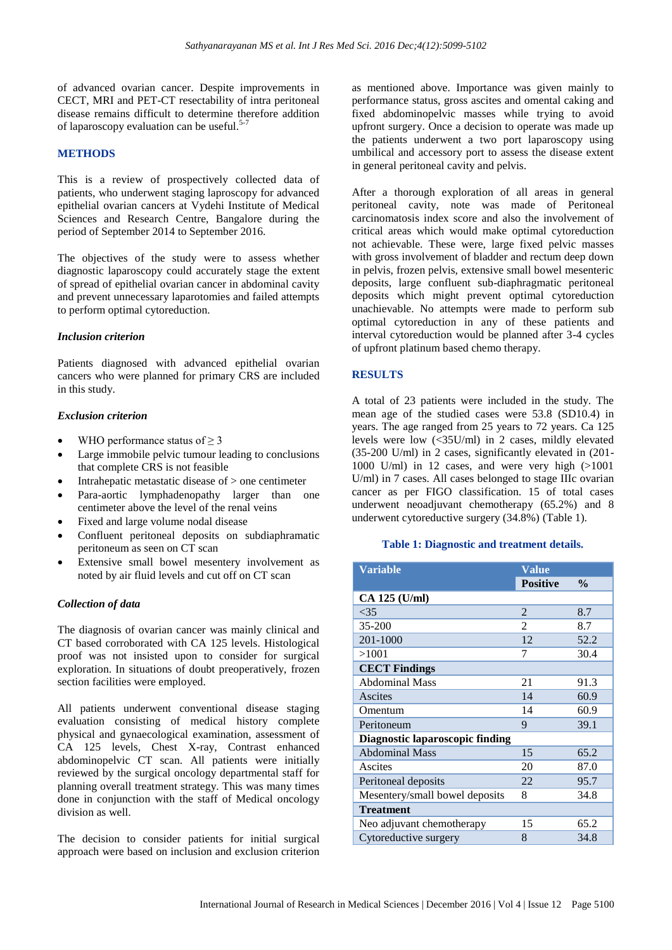of advanced ovarian cancer. Despite improvements in CECT, MRI and PET-CT resectability of intra peritoneal disease remains difficult to determine therefore addition of laparoscopy evaluation can be useful.<sup>5-7</sup>

#### **METHODS**

This is a review of prospectively collected data of patients, who underwent staging laproscopy for advanced epithelial ovarian cancers at Vydehi Institute of Medical Sciences and Research Centre, Bangalore during the period of September 2014 to September 2016.

The objectives of the study were to assess whether diagnostic laparoscopy could accurately stage the extent of spread of epithelial ovarian cancer in abdominal cavity and prevent unnecessary laparotomies and failed attempts to perform optimal cytoreduction.

#### *Inclusion criterion*

Patients diagnosed with advanced epithelial ovarian cancers who were planned for primary CRS are included in this study.

#### *Exclusion criterion*

- WHO performance status of  $\geq$  3
- Large immobile pelvic tumour leading to conclusions that complete CRS is not feasible
- Intrahepatic metastatic disease of > one centimeter
- Para-aortic lymphadenopathy larger than one centimeter above the level of the renal veins
- Fixed and large volume nodal disease
- Confluent peritoneal deposits on subdiaphramatic peritoneum as seen on CT scan
- Extensive small bowel mesentery involvement as noted by air fluid levels and cut off on CT scan

#### *Collection of data*

The diagnosis of ovarian cancer was mainly clinical and CT based corroborated with CA 125 levels. Histological proof was not insisted upon to consider for surgical exploration. In situations of doubt preoperatively, frozen section facilities were employed.

All patients underwent conventional disease staging evaluation consisting of medical history complete physical and gynaecological examination, assessment of CA 125 levels, Chest X-ray, Contrast enhanced abdominopelvic CT scan. All patients were initially reviewed by the surgical oncology departmental staff for planning overall treatment strategy. This was many times done in conjunction with the staff of Medical oncology division as well.

The decision to consider patients for initial surgical approach were based on inclusion and exclusion criterion as mentioned above. Importance was given mainly to performance status, gross ascites and omental caking and fixed abdominopelvic masses while trying to avoid upfront surgery. Once a decision to operate was made up the patients underwent a two port laparoscopy using umbilical and accessory port to assess the disease extent in general peritoneal cavity and pelvis.

After a thorough exploration of all areas in general peritoneal cavity, note was made of Peritoneal carcinomatosis index score and also the involvement of critical areas which would make optimal cytoreduction not achievable. These were, large fixed pelvic masses with gross involvement of bladder and rectum deep down in pelvis, frozen pelvis, extensive small bowel mesenteric deposits, large confluent sub-diaphragmatic peritoneal deposits which might prevent optimal cytoreduction unachievable. No attempts were made to perform sub optimal cytoreduction in any of these patients and interval cytoreduction would be planned after 3-4 cycles of upfront platinum based chemo therapy.

#### **RESULTS**

A total of 23 patients were included in the study. The mean age of the studied cases were 53.8 (SD10.4) in years. The age ranged from 25 years to 72 years. Ca 125 levels were low (<35U/ml) in 2 cases, mildly elevated (35-200 U/ml) in 2 cases, significantly elevated in (201- 1000 U/ml) in 12 cases, and were very high  $(>1001$ U/ml) in 7 cases. All cases belonged to stage IIIc ovarian cancer as per FIGO classification. 15 of total cases underwent neoadjuvant chemotherapy (65.2%) and 8 underwent cytoreductive surgery (34.8%) (Table 1).

#### **Table 1: Diagnostic and treatment details.**

| <b>Variable</b><br><b>Value</b> |                 |               |  |  |
|---------------------------------|-----------------|---------------|--|--|
|                                 | <b>Positive</b> | $\frac{0}{0}$ |  |  |
| CA 125 (U/ml)                   |                 |               |  |  |
| $<$ 35                          | 2               | 8.7           |  |  |
| 35-200                          | $\overline{2}$  | 8.7           |  |  |
| 201-1000                        | 12              | 52.2          |  |  |
| >1001                           | 7               | 30.4          |  |  |
| <b>CECT Findings</b>            |                 |               |  |  |
| <b>Abdominal Mass</b>           | 21              | 91.3          |  |  |
| Ascites                         | 14              | 60.9          |  |  |
| Omentum                         | 14              | 60.9          |  |  |
| Peritoneum                      | 9               | 39.1          |  |  |
| Diagnostic laparoscopic finding |                 |               |  |  |
| <b>Abdominal Mass</b>           | 15              | 65.2          |  |  |
| Ascites                         | 20              | 87.0          |  |  |
| Peritoneal deposits             | 22              | 95.7          |  |  |
| Mesentery/small bowel deposits  | 8               | 34.8          |  |  |
| <b>Treatment</b>                |                 |               |  |  |
| Neo adjuvant chemotherapy       | 15              | 65.2          |  |  |
| Cytoreductive surgery           | 8               | 34.8          |  |  |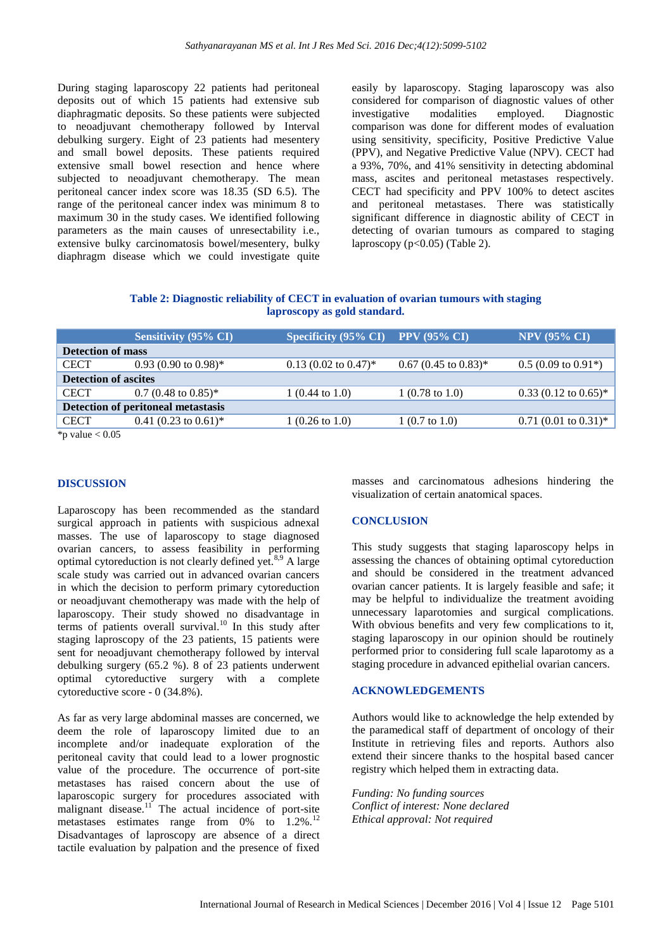During staging laparoscopy 22 patients had peritoneal deposits out of which 15 patients had extensive sub diaphragmatic deposits. So these patients were subjected to neoadjuvant chemotherapy followed by Interval debulking surgery. Eight of 23 patients had mesentery and small bowel deposits. These patients required extensive small bowel resection and hence where subjected to neoadjuvant chemotherapy. The mean peritoneal cancer index score was 18.35 (SD 6.5). The range of the peritoneal cancer index was minimum 8 to maximum 30 in the study cases. We identified following parameters as the main causes of unresectability i.e., extensive bulky carcinomatosis bowel/mesentery, bulky diaphragm disease which we could investigate quite easily by laparoscopy. Staging laparoscopy was also considered for comparison of diagnostic values of other investigative modalities employed. Diagnostic comparison was done for different modes of evaluation using sensitivity, specificity, Positive Predictive Value (PPV), and Negative Predictive Value (NPV). CECT had a 93%, 70%, and 41% sensitivity in detecting abdominal mass, ascites and peritoneal metastases respectively. CECT had specificity and PPV 100% to detect ascites and peritoneal metastases. There was statistically significant difference in diagnostic ability of CECT in detecting of ovarian tumours as compared to staging laproscopy  $(p<0.05)$  (Table 2).

**Table 2: Diagnostic reliability of CECT in evaluation of ovarian tumours with staging laproscopy as gold standard.**

|                                           | Sensitivity $(95\% \text{ CI})^{\dagger}$ | Specificity (95% CI) $\overline{PPV}$ (95% CI) |                           | <b>NPV (95% CI)</b>            |  |
|-------------------------------------------|-------------------------------------------|------------------------------------------------|---------------------------|--------------------------------|--|
| <b>Detection of mass</b>                  |                                           |                                                |                           |                                |  |
| <b>CECT</b>                               | $0.93(0.90 \text{ to } 0.98)^*$           | $0.13$ (0.02 to 0.47) <sup>*</sup>             | $0.67$ (0.45 to 0.83)*    | $0.5(0.09 \text{ to } 0.91^*)$ |  |
| <b>Detection of ascites</b>               |                                           |                                                |                           |                                |  |
| <b>CECT</b>                               | $0.7$ (0.48 to 0.85)*                     | $1(0.44 \text{ to } 1.0)$                      | $1(0.78 \text{ to } 1.0)$ | $0.33$ (0.12 to 0.65)*         |  |
| <b>Detection of peritoneal metastasis</b> |                                           |                                                |                           |                                |  |
| <b>CECT</b>                               | $0.41$ (0.23 to 0.61) <sup>*</sup>        | $1(0.26 \text{ to } 1.0)$                      | $1(0.7 \text{ to } 1.0)$  | $0.71$ (0.01 to 0.31)*         |  |

\*p value  $< 0.05$ 

#### **DISCUSSION**

Laparoscopy has been recommended as the standard surgical approach in patients with suspicious adnexal masses. The use of laparoscopy to stage diagnosed ovarian cancers, to assess feasibility in performing optimal cytoreduction is not clearly defined yet.8,9 A large scale study was carried out in advanced ovarian cancers in which the decision to perform primary cytoreduction or neoadjuvant chemotherapy was made with the help of laparoscopy. Their study showed no disadvantage in  $t$ erms of patients overall survival.<sup>10</sup> In this study after staging laproscopy of the 23 patients, 15 patients were sent for neoadjuvant chemotherapy followed by interval debulking surgery (65.2 %). 8 of 23 patients underwent optimal cytoreductive surgery with a complete cytoreductive score - 0 (34.8%).

As far as very large abdominal masses are concerned, we deem the role of laparoscopy limited due to an incomplete and/or inadequate exploration of the peritoneal cavity that could lead to a lower prognostic value of the procedure. The occurrence of port-site metastases has raised concern about the use of laparoscopic surgery for procedures associated with malignant disease.<sup>11</sup> The actual incidence of port-site metastases estimates range from  $0\%$  to  $1.2\%$ .<sup>12</sup> Disadvantages of laproscopy are absence of a direct tactile evaluation by palpation and the presence of fixed masses and carcinomatous adhesions hindering the visualization of certain anatomical spaces.

#### **CONCLUSION**

This study suggests that staging laparoscopy helps in assessing the chances of obtaining optimal cytoreduction and should be considered in the treatment advanced ovarian cancer patients. It is largely feasible and safe; it may be helpful to individualize the treatment avoiding unnecessary laparotomies and surgical complications. With obvious benefits and very few complications to it, staging laparoscopy in our opinion should be routinely performed prior to considering full scale laparotomy as a staging procedure in advanced epithelial ovarian cancers.

#### **ACKNOWLEDGEMENTS**

Authors would like to acknowledge the help extended by the paramedical staff of department of oncology of their Institute in retrieving files and reports. Authors also extend their sincere thanks to the hospital based cancer registry which helped them in extracting data.

*Funding: No funding sources Conflict of interest: None declared Ethical approval: Not required*